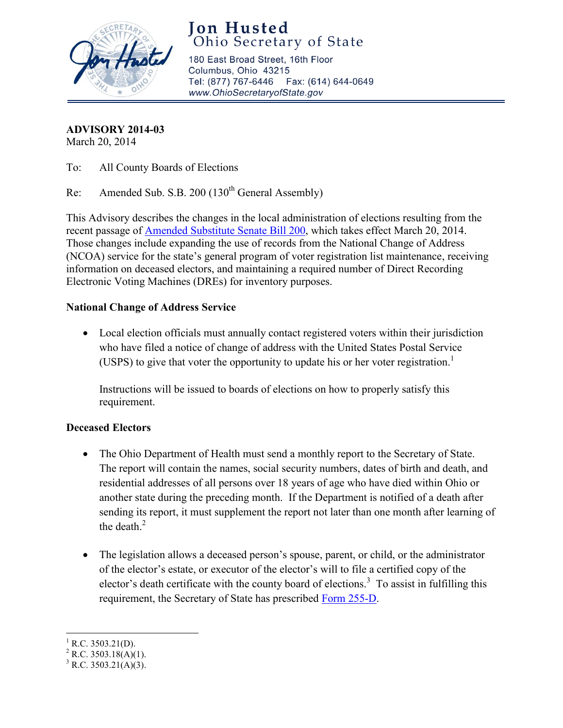

**Jon Husted** Ohio Secretary of State

180 East Broad Street, 16th Floor Columbus, Ohio 43215 Tel: (877) 767-6446 Fax: (614) 644-0649 www.OhioSecretaryofState.gov

**ADVISORY 2014-03** 

March 20, 2014

To: All County Boards of Elections

Re: Amended Sub. S.B. 200 (130<sup>th</sup> General Assembly)

This Advisory describes the changes in the local administration of elections resulting from the recent passage of [Amended Substitute Senate Bill 200](http://www.legislature.state.oh.us/bills.cfm?ID=130_SB_200), which takes effect March 20, 2014. Those changes include expanding the use of records from the National Change of Address (NCOA) service for the state's general program of voter registration list maintenance, receiving information on deceased electors, and maintaining a required number of Direct Recording Electronic Voting Machines (DREs) for inventory purposes.

## **National Change of Address Service**

• Local election officials must annually contact registered voters within their jurisdiction who have filed a notice of change of address with the United States Postal Service (USPS) to give that voter the opportunity to update his or her voter registration.<sup>1</sup>

Instructions will be issued to boards of elections on how to properly satisfy this requirement.

# **Deceased Electors**

- The Ohio Department of Health must send a monthly report to the Secretary of State. The report will contain the names, social security numbers, dates of birth and death, and residential addresses of all persons over 18 years of age who have died within Ohio or another state during the preceding month. If the Department is notified of a death after sending its report, it must supplement the report not later than one month after learning of the death. $<sup>2</sup>$ </sup>
- The legislation allows a deceased person's spouse, parent, or child, or the administrator of the elector's estate, or executor of the elector's will to file a certified copy of the elector's death certificate with the county board of elections.<sup>3</sup> To assist in fulfilling this requirement, the Secretary of State has prescribed [Form 255-D.](http://www.sos.state.oh.us/sos/upload/elections/forms/255-D.pdf)

 $^{1}$  R.C. 3503.21(D).

<sup>&</sup>lt;sup>2</sup> R.C. 3503.18(A)(1).

 $3$  R.C. 3503.21(A)(3).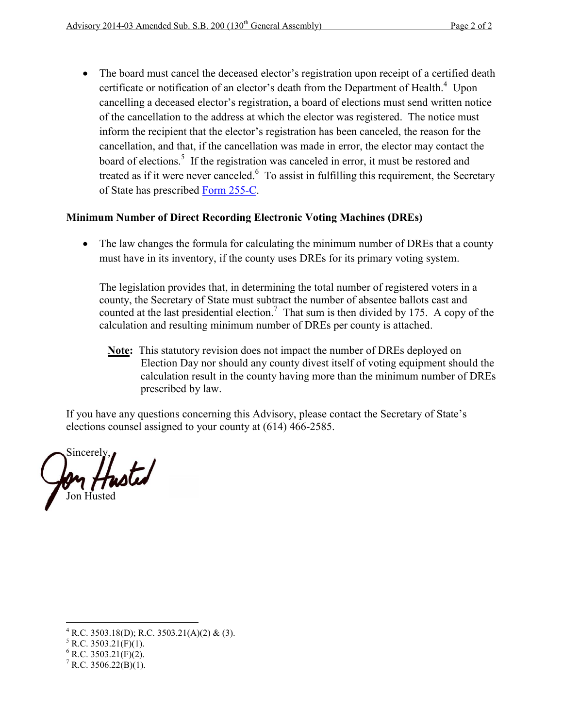• The board must cancel the deceased elector's registration upon receipt of a certified death certificate or notification of an elector's death from the Department of Health.<sup>4</sup> Upon cancelling a deceased elector's registration, a board of elections must send written notice of the cancellation to the address at which the elector was registered. The notice must inform the recipient that the elector's registration has been canceled, the reason for the cancellation, and that, if the cancellation was made in error, the elector may contact the board of elections.<sup>5</sup> If the registration was canceled in error, it must be restored and treated as if it were never canceled.<sup>6</sup> To assist in fulfilling this requirement, the Secretary of State has prescribed [Form 255-C](http://www.sos.state.oh.us/sos/upload/elections/forms/255-C.pdf).

### **Minimum Number of Direct Recording Electronic Voting Machines (DREs)**

• The law changes the formula for calculating the minimum number of DREs that a county must have in its inventory, if the county uses DREs for its primary voting system.

The legislation provides that, in determining the total number of registered voters in a county, the Secretary of State must subtract the number of absentee ballots cast and counted at the last presidential election.<sup>7</sup> That sum is then divided by 175. A copy of the calculation and resulting minimum number of DREs per county is attached.

**Note:** This statutory revision does not impact the number of DREs deployed on Election Day nor should any county divest itself of voting equipment should the calculation result in the county having more than the minimum number of DREs prescribed by law.

If you have any questions concerning this Advisory, please contact the Secretary of State's elections counsel assigned to your county at (614) 466-2585.

Sincerely, *Husted* Jon Husted

 $^{4}$  R.C. 3503.18(D); R.C. 3503.21(A)(2) & (3).

 $5$  R.C. 3503.21(F)(1).

 $6$  R.C. 3503.21(F)(2).

 $^7$  R.C. 3506.22(B)(1).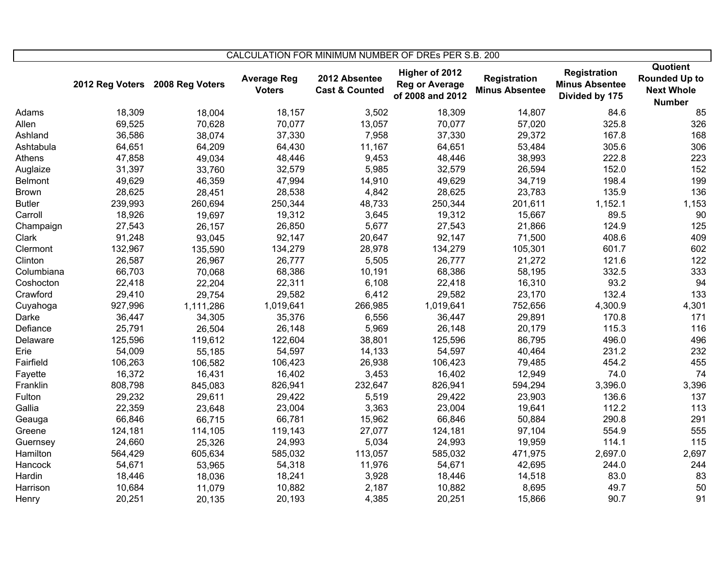|                | CALCULATION FOR MINIMUM NUMBER OF DREs PER S.B. 200 |                                 |                                     |                                            |                                                             |                                       |                                                         |                                                                        |
|----------------|-----------------------------------------------------|---------------------------------|-------------------------------------|--------------------------------------------|-------------------------------------------------------------|---------------------------------------|---------------------------------------------------------|------------------------------------------------------------------------|
|                |                                                     | 2012 Reg Voters 2008 Reg Voters | <b>Average Reg</b><br><b>Voters</b> | 2012 Absentee<br><b>Cast &amp; Counted</b> | Higher of 2012<br><b>Reg or Average</b><br>of 2008 and 2012 | Registration<br><b>Minus Absentee</b> | Registration<br><b>Minus Absentee</b><br>Divided by 175 | Quotient<br><b>Rounded Up to</b><br><b>Next Whole</b><br><b>Number</b> |
| Adams          | 18,309                                              | 18,004                          | 18,157                              | 3,502                                      | 18,309                                                      | 14,807                                | 84.6                                                    | 85                                                                     |
| Allen          | 69,525                                              | 70,628                          | 70,077                              | 13,057                                     | 70,077                                                      | 57,020                                | 325.8                                                   | 326                                                                    |
| Ashland        | 36,586                                              | 38,074                          | 37,330                              | 7,958                                      | 37,330                                                      | 29,372                                | 167.8                                                   | 168                                                                    |
| Ashtabula      | 64,651                                              | 64,209                          | 64,430                              | 11,167                                     | 64,651                                                      | 53,484                                | 305.6                                                   | 306                                                                    |
| Athens         | 47,858                                              | 49,034                          | 48,446                              | 9,453                                      | 48,446                                                      | 38,993                                | 222.8                                                   | 223                                                                    |
| Auglaize       | 31,397                                              | 33,760                          | 32,579                              | 5,985                                      | 32,579                                                      | 26,594                                | 152.0                                                   | 152                                                                    |
| <b>Belmont</b> | 49,629                                              | 46,359                          | 47,994                              | 14,910                                     | 49,629                                                      | 34,719                                | 198.4                                                   | 199                                                                    |
| <b>Brown</b>   | 28,625                                              | 28,451                          | 28,538                              | 4,842                                      | 28,625                                                      | 23,783                                | 135.9                                                   | 136                                                                    |
| <b>Butler</b>  | 239,993                                             | 260,694                         | 250,344                             | 48,733                                     | 250,344                                                     | 201,611                               | 1,152.1                                                 | 1,153                                                                  |
| Carroll        | 18,926                                              | 19,697                          | 19,312                              | 3,645                                      | 19,312                                                      | 15,667                                | 89.5                                                    | 90                                                                     |
| Champaign      | 27,543                                              | 26,157                          | 26,850                              | 5,677                                      | 27,543                                                      | 21,866                                | 124.9                                                   | 125                                                                    |
| Clark          | 91,248                                              | 93,045                          | 92,147                              | 20,647                                     | 92,147                                                      | 71,500                                | 408.6                                                   | 409                                                                    |
| Clermont       | 132,967                                             | 135,590                         | 134,279                             | 28,978                                     | 134,279                                                     | 105,301                               | 601.7                                                   | 602                                                                    |
| Clinton        | 26,587                                              | 26,967                          | 26,777                              | 5,505                                      | 26,777                                                      | 21,272                                | 121.6                                                   | 122                                                                    |
| Columbiana     | 66,703                                              | 70,068                          | 68,386                              | 10,191                                     | 68,386                                                      | 58,195                                | 332.5                                                   | 333                                                                    |
| Coshocton      | 22,418                                              | 22,204                          | 22,311                              | 6,108                                      | 22,418                                                      | 16,310                                | 93.2                                                    | 94                                                                     |
| Crawford       | 29,410                                              | 29,754                          | 29,582                              | 6,412                                      | 29,582                                                      | 23,170                                | 132.4                                                   | 133                                                                    |
| Cuyahoga       | 927,996                                             | 1,111,286                       | 1,019,641                           | 266,985                                    | 1,019,641                                                   | 752,656                               | 4,300.9                                                 | 4,301                                                                  |
| Darke          | 36,447                                              | 34,305                          | 35,376                              | 6,556                                      | 36,447                                                      | 29,891                                | 170.8                                                   | 171                                                                    |
| Defiance       | 25,791                                              | 26,504                          | 26,148                              | 5,969                                      | 26,148                                                      | 20,179                                | 115.3                                                   | 116                                                                    |
| Delaware       | 125,596                                             | 119,612                         | 122,604                             | 38,801                                     | 125,596                                                     | 86,795                                | 496.0                                                   | 496                                                                    |
| Erie           | 54,009                                              | 55,185                          | 54,597                              | 14,133                                     | 54,597                                                      | 40,464                                | 231.2                                                   | 232                                                                    |
| Fairfield      | 106,263                                             | 106,582                         | 106,423                             | 26,938                                     | 106,423                                                     | 79,485                                | 454.2                                                   | 455                                                                    |
| Fayette        | 16,372                                              | 16,431                          | 16,402                              | 3,453                                      | 16,402                                                      | 12,949                                | 74.0                                                    | 74                                                                     |
| Franklin       | 808,798                                             | 845,083                         | 826,941                             | 232,647                                    | 826,941                                                     | 594,294                               | 3,396.0                                                 | 3,396                                                                  |
| Fulton         | 29,232                                              | 29,611                          | 29,422                              | 5,519                                      | 29,422                                                      | 23,903                                | 136.6                                                   | 137                                                                    |
| Gallia         | 22,359                                              | 23,648                          | 23,004                              | 3,363                                      | 23,004                                                      | 19,641                                | 112.2                                                   | 113                                                                    |
| Geauga         | 66,846                                              | 66,715                          | 66,781                              | 15,962                                     | 66,846                                                      | 50,884                                | 290.8                                                   | 291                                                                    |
| Greene         | 124,181                                             | 114,105                         | 119,143                             | 27,077                                     | 124,181                                                     | 97,104                                | 554.9                                                   | 555                                                                    |
| Guernsey       | 24,660                                              | 25,326                          | 24,993                              | 5,034                                      | 24,993                                                      | 19,959                                | 114.1                                                   | 115                                                                    |
| Hamilton       | 564,429                                             | 605,634                         | 585,032                             | 113,057                                    | 585,032                                                     | 471,975                               | 2,697.0                                                 | 2,697                                                                  |
| Hancock        | 54,671                                              | 53,965                          | 54,318                              | 11,976                                     | 54,671                                                      | 42,695                                | 244.0                                                   | 244                                                                    |
| Hardin         | 18,446                                              | 18,036                          | 18,241                              | 3,928                                      | 18,446                                                      | 14,518                                | 83.0                                                    | 83                                                                     |
| Harrison       | 10,684                                              | 11,079                          | 10,882                              | 2,187                                      | 10,882                                                      | 8,695                                 | 49.7                                                    | 50                                                                     |
| Henry          | 20,251                                              | 20,135                          | 20,193                              | 4,385                                      | 20,251                                                      | 15,866                                | 90.7                                                    | 91                                                                     |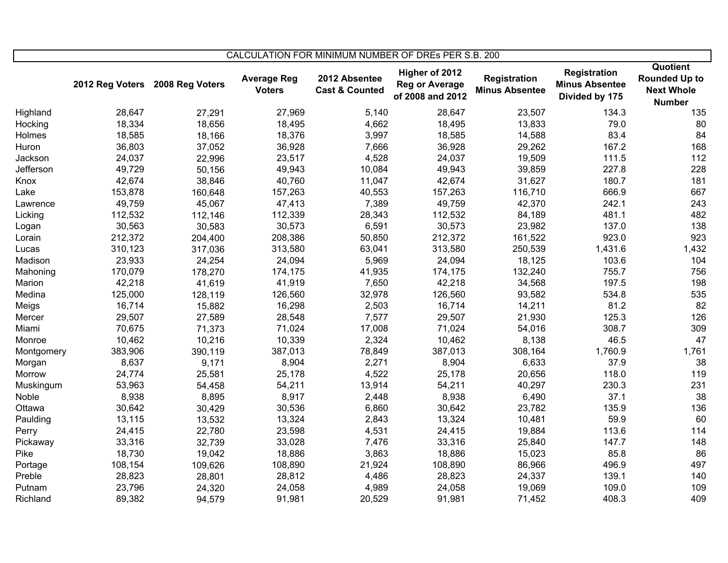|            | CALCULATION FOR MINIMUM NUMBER OF DREs PER S.B. 200 |                 |                                     |                                            |                                                             |                                       |                                                                |                                                                        |
|------------|-----------------------------------------------------|-----------------|-------------------------------------|--------------------------------------------|-------------------------------------------------------------|---------------------------------------|----------------------------------------------------------------|------------------------------------------------------------------------|
|            | 2012 Reg Voters                                     | 2008 Reg Voters | <b>Average Reg</b><br><b>Voters</b> | 2012 Absentee<br><b>Cast &amp; Counted</b> | Higher of 2012<br><b>Reg or Average</b><br>of 2008 and 2012 | Registration<br><b>Minus Absentee</b> | <b>Registration</b><br><b>Minus Absentee</b><br>Divided by 175 | Quotient<br><b>Rounded Up to</b><br><b>Next Whole</b><br><b>Number</b> |
| Highland   | 28,647                                              | 27,291          | 27,969                              | 5,140                                      | 28,647                                                      | 23,507                                | 134.3                                                          | 135                                                                    |
| Hocking    | 18,334                                              | 18,656          | 18,495                              | 4,662                                      | 18,495                                                      | 13,833                                | 79.0                                                           | 80                                                                     |
| Holmes     | 18,585                                              | 18,166          | 18,376                              | 3,997                                      | 18,585                                                      | 14,588                                | 83.4                                                           | 84                                                                     |
| Huron      | 36,803                                              | 37,052          | 36,928                              | 7,666                                      | 36,928                                                      | 29,262                                | 167.2                                                          | 168                                                                    |
| Jackson    | 24,037                                              | 22,996          | 23,517                              | 4,528                                      | 24,037                                                      | 19,509                                | 111.5                                                          | 112                                                                    |
| Jefferson  | 49,729                                              | 50,156          | 49,943                              | 10,084                                     | 49,943                                                      | 39,859                                | 227.8                                                          | 228                                                                    |
| Knox       | 42,674                                              | 38,846          | 40,760                              | 11,047                                     | 42,674                                                      | 31,627                                | 180.7                                                          | 181                                                                    |
| Lake       | 153,878                                             | 160,648         | 157,263                             | 40,553                                     | 157,263                                                     | 116,710                               | 666.9                                                          | 667                                                                    |
| Lawrence   | 49,759                                              | 45,067          | 47,413                              | 7,389                                      | 49,759                                                      | 42,370                                | 242.1                                                          | 243                                                                    |
| Licking    | 112,532                                             | 112,146         | 112,339                             | 28,343                                     | 112,532                                                     | 84,189                                | 481.1                                                          | 482                                                                    |
| Logan      | 30,563                                              | 30,583          | 30,573                              | 6,591                                      | 30,573                                                      | 23,982                                | 137.0                                                          | 138                                                                    |
| Lorain     | 212,372                                             | 204,400         | 208,386                             | 50,850                                     | 212,372                                                     | 161,522                               | 923.0                                                          | 923                                                                    |
| Lucas      | 310,123                                             | 317,036         | 313,580                             | 63,041                                     | 313,580                                                     | 250,539                               | 1,431.6                                                        | 1,432                                                                  |
| Madison    | 23,933                                              | 24,254          | 24,094                              | 5,969                                      | 24,094                                                      | 18,125                                | 103.6                                                          | 104                                                                    |
| Mahoning   | 170,079                                             | 178,270         | 174,175                             | 41,935                                     | 174,175                                                     | 132,240                               | 755.7                                                          | 756                                                                    |
| Marion     | 42,218                                              | 41,619          | 41,919                              | 7,650                                      | 42,218                                                      | 34,568                                | 197.5                                                          | 198                                                                    |
| Medina     | 125,000                                             | 128,119         | 126,560                             | 32,978                                     | 126,560                                                     | 93,582                                | 534.8                                                          | 535                                                                    |
| Meigs      | 16,714                                              | 15,882          | 16,298                              | 2,503                                      | 16,714                                                      | 14,211                                | 81.2                                                           | 82                                                                     |
| Mercer     | 29,507                                              | 27,589          | 28,548                              | 7,577                                      | 29,507                                                      | 21,930                                | 125.3                                                          | 126                                                                    |
| Miami      | 70,675                                              | 71,373          | 71,024                              | 17,008                                     | 71,024                                                      | 54,016                                | 308.7                                                          | 309                                                                    |
| Monroe     | 10,462                                              | 10,216          | 10,339                              | 2,324                                      | 10,462                                                      | 8,138                                 | 46.5                                                           | 47                                                                     |
| Montgomery | 383,906                                             | 390,119         | 387,013                             | 78,849                                     | 387,013                                                     | 308,164                               | 1,760.9                                                        | 1,761                                                                  |
| Morgan     | 8,637                                               | 9,171           | 8,904                               | 2,271                                      | 8,904                                                       | 6,633                                 | 37.9                                                           | 38                                                                     |
| Morrow     | 24,774                                              | 25,581          | 25,178                              | 4,522                                      | 25,178                                                      | 20,656                                | 118.0                                                          | 119                                                                    |
| Muskingum  | 53,963                                              | 54,458          | 54,211                              | 13,914                                     | 54,211                                                      | 40,297                                | 230.3                                                          | 231                                                                    |
| Noble      | 8,938                                               | 8,895           | 8,917                               | 2,448                                      | 8,938                                                       | 6,490                                 | 37.1                                                           | 38                                                                     |
| Ottawa     | 30,642                                              | 30,429          | 30,536                              | 6,860                                      | 30,642                                                      | 23,782                                | 135.9                                                          | 136                                                                    |
| Paulding   | 13,115                                              | 13,532          | 13,324                              | 2,843                                      | 13,324                                                      | 10,481                                | 59.9                                                           | 60                                                                     |
| Perry      | 24,415                                              | 22,780          | 23,598                              | 4,531                                      | 24,415                                                      | 19,884                                | 113.6                                                          | 114                                                                    |
| Pickaway   | 33,316                                              | 32,739          | 33,028                              | 7,476                                      | 33,316                                                      | 25,840                                | 147.7                                                          | 148                                                                    |
| Pike       | 18,730                                              | 19,042          | 18,886                              | 3,863                                      | 18,886                                                      | 15,023                                | 85.8                                                           | 86                                                                     |
| Portage    | 108,154                                             | 109,626         | 108,890                             | 21,924                                     | 108,890                                                     | 86,966                                | 496.9                                                          | 497                                                                    |
| Preble     | 28,823                                              | 28,801          | 28,812                              | 4,486                                      | 28,823                                                      | 24,337                                | 139.1                                                          | 140                                                                    |
| Putnam     | 23,796                                              | 24,320          | 24,058                              | 4,989                                      | 24,058                                                      | 19,069                                | 109.0                                                          | 109                                                                    |
| Richland   | 89,382                                              | 94,579          | 91,981                              | 20,529                                     | 91,981                                                      | 71,452                                | 408.3                                                          | 409                                                                    |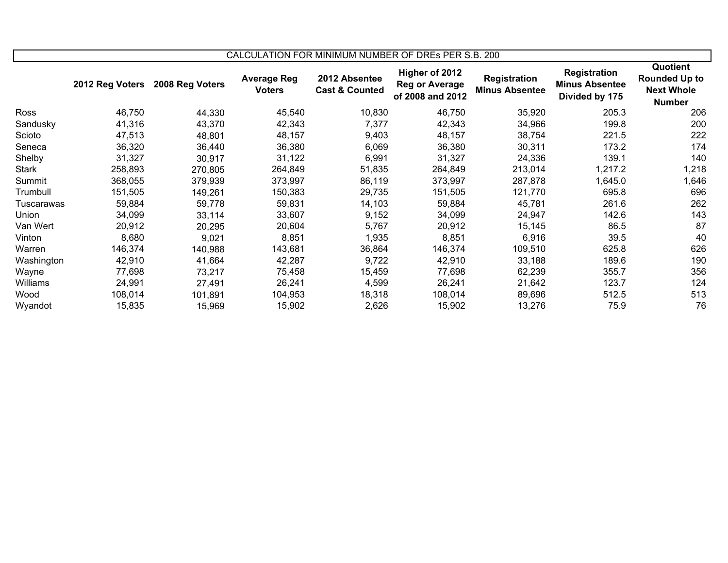| CALCULATION FOR MINIMUM NUMBER OF DRES PER S.B. 200 |                 |                 |                                     |                                            |                                                      |                                              |                                                                |                                                                        |
|-----------------------------------------------------|-----------------|-----------------|-------------------------------------|--------------------------------------------|------------------------------------------------------|----------------------------------------------|----------------------------------------------------------------|------------------------------------------------------------------------|
|                                                     | 2012 Reg Voters | 2008 Reg Voters | <b>Average Reg</b><br><b>Voters</b> | 2012 Absentee<br><b>Cast &amp; Counted</b> | Higher of 2012<br>Reg or Average<br>of 2008 and 2012 | <b>Registration</b><br><b>Minus Absentee</b> | <b>Registration</b><br><b>Minus Absentee</b><br>Divided by 175 | Quotient<br><b>Rounded Up to</b><br><b>Next Whole</b><br><b>Number</b> |
| Ross                                                | 46,750          | 44,330          | 45,540                              | 10,830                                     | 46,750                                               | 35,920                                       | 205.3                                                          | 206                                                                    |
| Sandusky                                            | 41,316          | 43,370          | 42,343                              | 7,377                                      | 42,343                                               | 34,966                                       | 199.8                                                          | 200                                                                    |
| Scioto                                              | 47,513          | 48,801          | 48,157                              | 9,403                                      | 48,157                                               | 38,754                                       | 221.5                                                          | 222                                                                    |
| Seneca                                              | 36,320          | 36,440          | 36,380                              | 6,069                                      | 36,380                                               | 30,311                                       | 173.2                                                          | 174                                                                    |
| Shelby                                              | 31,327          | 30,917          | 31,122                              | 6,991                                      | 31,327                                               | 24,336                                       | 139.1                                                          | 140                                                                    |
| <b>Stark</b>                                        | 258,893         | 270,805         | 264,849                             | 51,835                                     | 264,849                                              | 213,014                                      | 1,217.2                                                        | 1,218                                                                  |
| Summit                                              | 368,055         | 379,939         | 373,997                             | 86,119                                     | 373,997                                              | 287,878                                      | 1,645.0                                                        | 1,646                                                                  |
| Trumbull                                            | 151,505         | 149,261         | 150,383                             | 29,735                                     | 151,505                                              | 121,770                                      | 695.8                                                          | 696                                                                    |
| Tuscarawas                                          | 59,884          | 59,778          | 59,831                              | 14,103                                     | 59,884                                               | 45,781                                       | 261.6                                                          | 262                                                                    |
| Union                                               | 34,099          | 33,114          | 33,607                              | 9,152                                      | 34,099                                               | 24,947                                       | 142.6                                                          | 143                                                                    |
| Van Wert                                            | 20,912          | 20,295          | 20,604                              | 5,767                                      | 20,912                                               | 15,145                                       | 86.5                                                           | 87                                                                     |
| Vinton                                              | 8,680           | 9,021           | 8,851                               | 1,935                                      | 8,851                                                | 6,916                                        | 39.5                                                           | 40                                                                     |
| Warren                                              | 146,374         | 140,988         | 143,681                             | 36,864                                     | 146,374                                              | 109,510                                      | 625.8                                                          | 626                                                                    |
| Washington                                          | 42,910          | 41,664          | 42,287                              | 9,722                                      | 42,910                                               | 33,188                                       | 189.6                                                          | 190                                                                    |
| Wayne                                               | 77,698          | 73,217          | 75,458                              | 15,459                                     | 77,698                                               | 62,239                                       | 355.7                                                          | 356                                                                    |
| Williams                                            | 24,991          | 27,491          | 26,241                              | 4,599                                      | 26,241                                               | 21,642                                       | 123.7                                                          | 124                                                                    |
| Wood                                                | 108,014         | 101,891         | 104,953                             | 18,318                                     | 108,014                                              | 89,696                                       | 512.5                                                          | 513                                                                    |
| Wyandot                                             | 15,835          | 15,969          | 15,902                              | 2,626                                      | 15,902                                               | 13,276                                       | 75.9                                                           | 76                                                                     |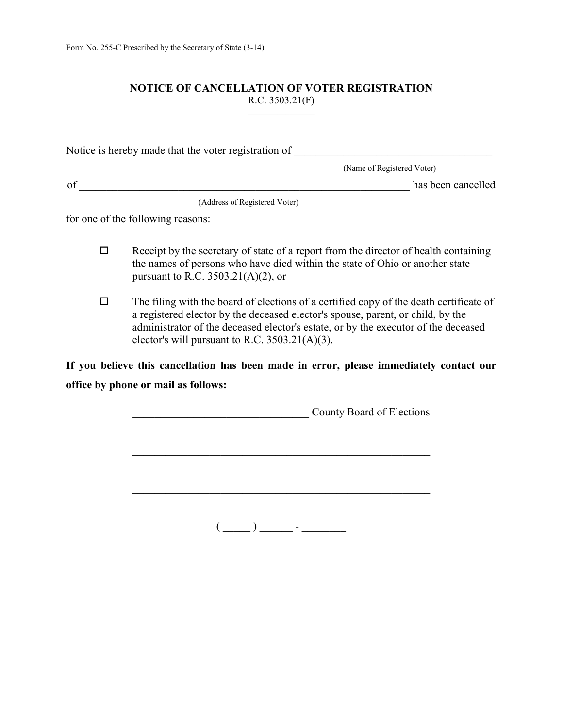### **NOTICE OF CANCELLATION OF VOTER REGISTRATION** R.C. 3503.21(F)

| Notice is hereby made that the voter registration of |                            |
|------------------------------------------------------|----------------------------|
|                                                      | (Name of Registered Voter) |
| of                                                   | has been cancelled         |

(Address of Registered Voter)

for one of the following reasons:

- $\Box$ Receipt by the secretary of state of a report from the director of health containing the names of persons who have died within the state of Ohio or another state pursuant to R.C. 3503.21(A)(2), or
- $\Box$ The filing with the board of elections of a certified copy of the death certificate of a registered elector by the deceased elector's spouse, parent, or child, by the administrator of the deceased elector's estate, or by the executor of the deceased elector's will pursuant to R.C. 3503.21(A)(3).

**If you believe this cancellation has been made in error, please immediately contact our office by phone or mail as follows:** 

\_\_\_\_\_\_\_\_\_\_\_\_\_\_\_\_\_\_\_\_\_\_\_\_\_\_\_\_\_\_\_\_ County Board of Elections

\_\_\_\_\_\_\_\_\_\_\_\_\_\_\_\_\_\_\_\_\_\_\_\_\_\_\_\_\_\_\_\_\_\_\_\_\_\_\_\_\_\_\_\_\_\_\_\_\_\_\_\_\_\_

\_\_\_\_\_\_\_\_\_\_\_\_\_\_\_\_\_\_\_\_\_\_\_\_\_\_\_\_\_\_\_\_\_\_\_\_\_\_\_\_\_\_\_\_\_\_\_\_\_\_\_\_\_\_

 $\overline{(\underline{\hspace{1cm}})}$   $\overline{\hspace{1cm}}$  -  $\overline{\hspace{1cm}}$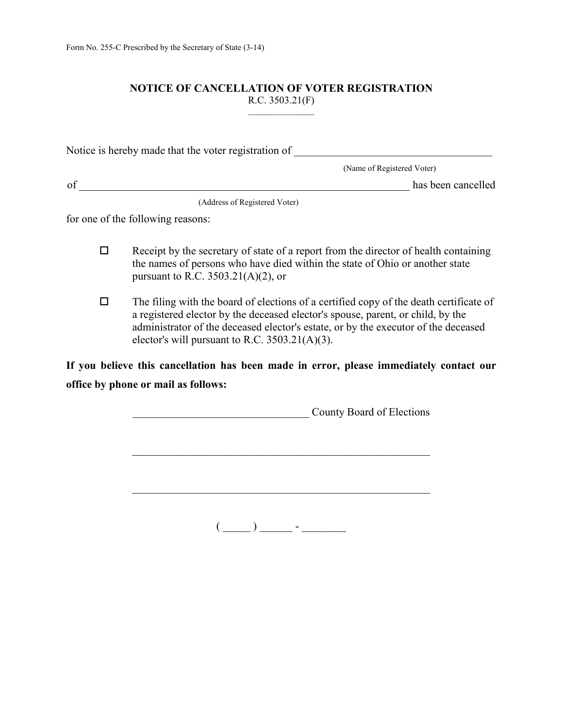### **NOTICE OF CANCELLATION OF VOTER REGISTRATION** R.C. 3503.21(F)

| Notice is hereby made that the voter registration of |                            |
|------------------------------------------------------|----------------------------|
|                                                      | (Name of Registered Voter) |
| of                                                   | has been cancelled         |

(Address of Registered Voter)

for one of the following reasons:

- $\Box$  Receipt by the secretary of state of a report from the director of health containing the names of persons who have died within the state of Ohio or another state pursuant to R.C. 3503.21(A)(2), or
- $\Box$  The filing with the board of elections of a certified copy of the death certificate of a registered elector by the deceased elector's spouse, parent, or child, by the administrator of the deceased elector's estate, or by the executor of the deceased elector's will pursuant to R.C. 3503.21(A)(3).

**If you believe this cancellation has been made in error, please immediately contact our office by phone or mail as follows:** 

\_\_\_\_\_\_\_\_\_\_\_\_\_\_\_\_\_\_\_\_\_\_\_\_\_\_\_\_\_\_\_\_ County Board of Elections

\_\_\_\_\_\_\_\_\_\_\_\_\_\_\_\_\_\_\_\_\_\_\_\_\_\_\_\_\_\_\_\_\_\_\_\_\_\_\_\_\_\_\_\_\_\_\_\_\_\_\_\_\_\_

\_\_\_\_\_\_\_\_\_\_\_\_\_\_\_\_\_\_\_\_\_\_\_\_\_\_\_\_\_\_\_\_\_\_\_\_\_\_\_\_\_\_\_\_\_\_\_\_\_\_\_\_\_\_

 $\overline{(\underline{\hspace{1cm}})}$   $\overline{\hspace{1cm}}$  -  $\overline{\hspace{1cm}}$